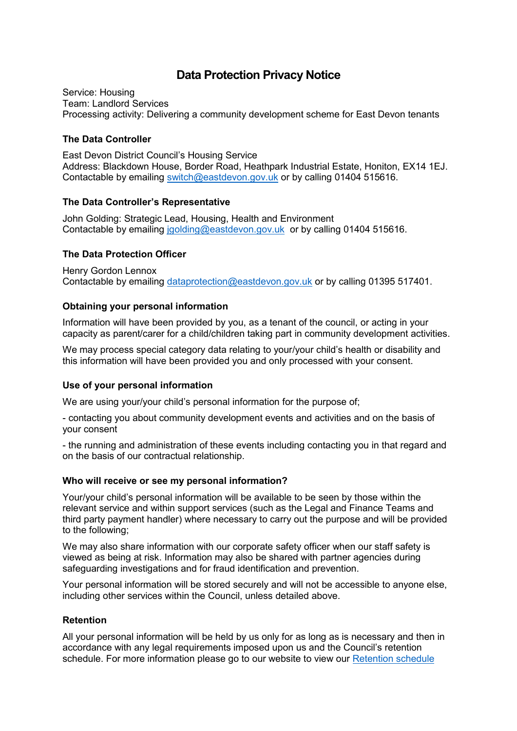# **Data Protection Privacy Notice**

Service: Housing Team: Landlord Services Processing activity: Delivering a community development scheme for East Devon tenants

#### **The Data Controller**

East Devon District Council's Housing Service Address: Blackdown House, Border Road, Heathpark Industrial Estate, Honiton, EX14 1EJ. Contactable by emailing [switch@eastdevon.gov.uk](mailto:switch@eastdevon.gov.uk) or by calling 01404 515616.

#### **The Data Controller's Representative**

John Golding: Strategic Lead, Housing, Health and Environment Contactable by emailing [jgolding@eastdevon.gov.uk](mailto:jgolding@eastdevon.gov.uk) or by calling 01404 515616.

## **The Data Protection Officer**

Henry Gordon Lennox Contactable by emailing [dataprotection@eastdevon.gov.uk](mailto:dataprotection@eastdevon.gov.uk) or by calling 01395 517401.

## **Obtaining your personal information**

Information will have been provided by you, as a tenant of the council, or acting in your capacity as parent/carer for a child/children taking part in community development activities.

We may process special category data relating to your/your child's health or disability and this information will have been provided you and only processed with your consent.

#### **Use of your personal information**

We are using your/your child's personal information for the purpose of;

- contacting you about community development events and activities and on the basis of your consent

- the running and administration of these events including contacting you in that regard and on the basis of our contractual relationship.

#### **Who will receive or see my personal information?**

Your/your child's personal information will be available to be seen by those within the relevant service and within support services (such as the Legal and Finance Teams and third party payment handler) where necessary to carry out the purpose and will be provided to the following;

We may also share information with our corporate safety officer when our staff safety is viewed as being at risk. Information may also be shared with partner agencies during safeguarding investigations and for fraud identification and prevention.

Your personal information will be stored securely and will not be accessible to anyone else, including other services within the Council, unless detailed above.

#### **Retention**

All your personal information will be held by us only for as long as is necessary and then in accordance with any legal requirements imposed upon us and the Council's retention schedule. For more information please go to our website to view our [Retention schedule](http://eastdevon.gov.uk/access-to-information/data-protection/document-retention-schedules/)